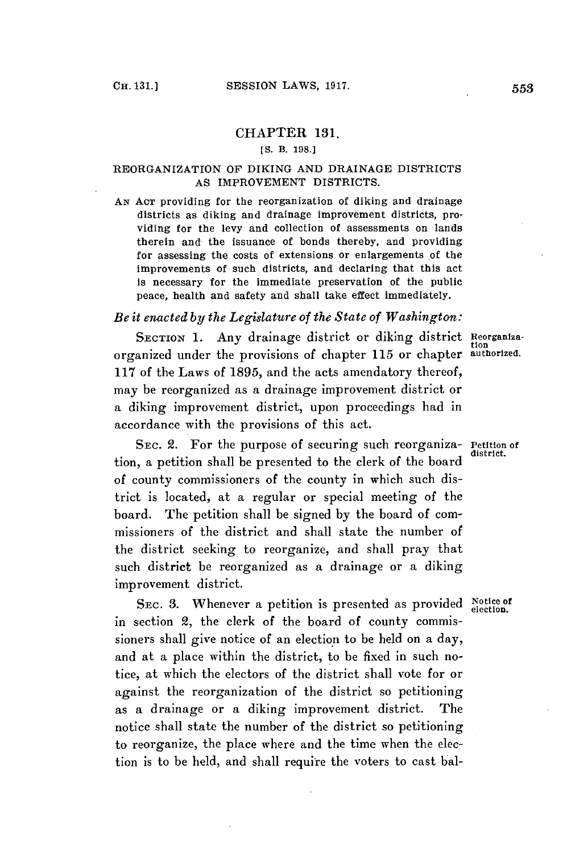### CHAPTER **131.**

## *[S.* **B. 198.]**

### REORGANIZATION OF **DIKING AND** DRAINAGE DISTRICTS **AS** IMPROVEMENT DISTRICTS.

**AN ACT** providing for the reorganization of diking and drainage districts as diking and drainage improvement districts, providing for the levy and collection of assessments on lands therein and the issuance of bonds thereby, and providing for assessing the costs of extensions or enlargements of the improvements of such districts, and declaring that this act is necessary for the immediate preservation of the public peace, health and safety and shall take effect immediately.

# *Be it enacted by the Legislature of the State of Washington:*

**SECTION 1.** Any drainage district or diking district **Reorganiza**organized under the provisions of chapter **115** or chapter **authorized. 117** of the Laws of **1895,** and the acts amendatory thereof, may be reorganized as a drainage improvement district or a diking improvement district, upon proceedings had in accordance with the provisions of this act.

SEC. 2. For the purpose of securing such reorganiza- Petition of tion, a petition shall be presented to the clerk of the board of county commissioners of the county in which such district is located, at a regular or special meeting of the board. The petition shall be signed **by** the board of commissioners of the district and shall state the number of the district seeking to reorganize, and shall pray that such district be reorganized as a drainage or a diking improvement district.

SEC. 3. Whenever a petition is presented as provided Notice of in section 2, the clerk of the board of county commissioners shall give notice of an election to be held on a day, and at a place within the district, to be fixed in such notice, at which the electors of the district shall vote for or against the reorganization of the district so petitioning as a drainage or a diking improvement district. The notice shall state the number of the district so petitioning to reorganize, the place where and the time when the election is to be held, and shall require the voters to cast bal-

tion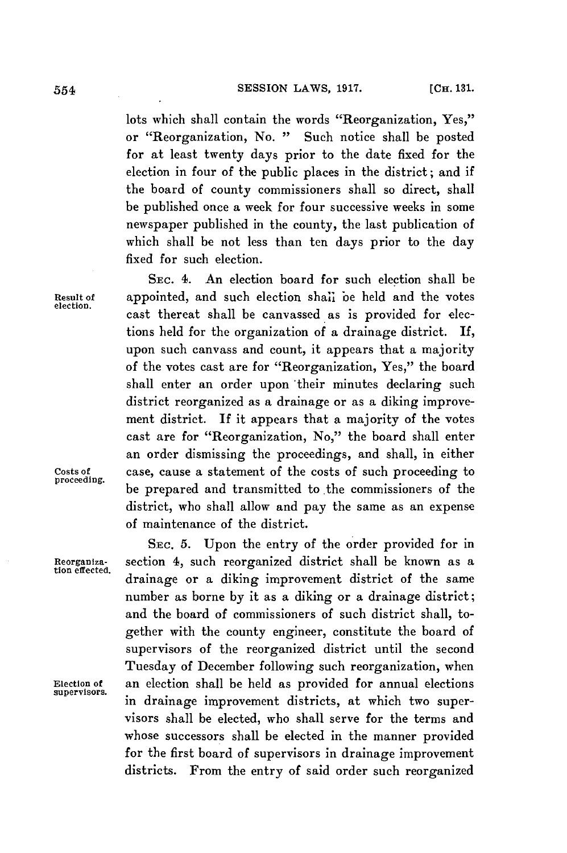**SESSION LAWS, 1917.** [CH. 131.]

lots which shall contain the words "Reorganization, Yes," or "Reorganization, No. **"** Such notice shall be posted for at least twenty days prior to the date fixed for the election in four of the public places in the district; and if the board of county commissioners shall so direct, shall be published once a week for four successive weeks in some newspaper published in the county, the last publication of which shall **be** not less than ten days prior to the day fixed for such election.

**SEC.** 4. An election board for such election shall be **Result of** appointed, and such election shali be held and the votes cast thereat shall be canvassed as is provided for elections held for the organization of a drainage district. If, upon such canvass and count, it appears that a majority of the votes cast are for "Reorganization, Yes," the board shall enter an order upon their minutes declaring such district reorganized as a drainage or as a diking improvement district. **If** it appears that a majority of the votes cast are for "Reorganization, No," the board shall enter an order dismissing the proceedings, and shall, in either Costs of case, cause a statement of the costs of such proceeding to proceeding. be prepared and transmitted to the commissioners of the district, who shall allow and pay the same as an expense of maintenance of the district.

SEc. **5.** Upon the entry of the order provided for in **Reorganiza-** section 4, such reorganized district shall be known as a drainage or a diking improvement district of the same number as borne **by** it as a diking or a drainage district; and the board of commissioners of such district shall, together with the county engineer, constitute the board of supervisors of the reorganized district until the second Tuesday of December following such reorganization, when **Election of** an election shall be held as provided for annual elections in drainage improvement districts, at which two supervisors shall be elected, who shall serve for the terms and whose successors shall be elected in the manner provided for the first board of supervisors in drainage improvement districts. From the entry of said order such reorganized

**tion effected.**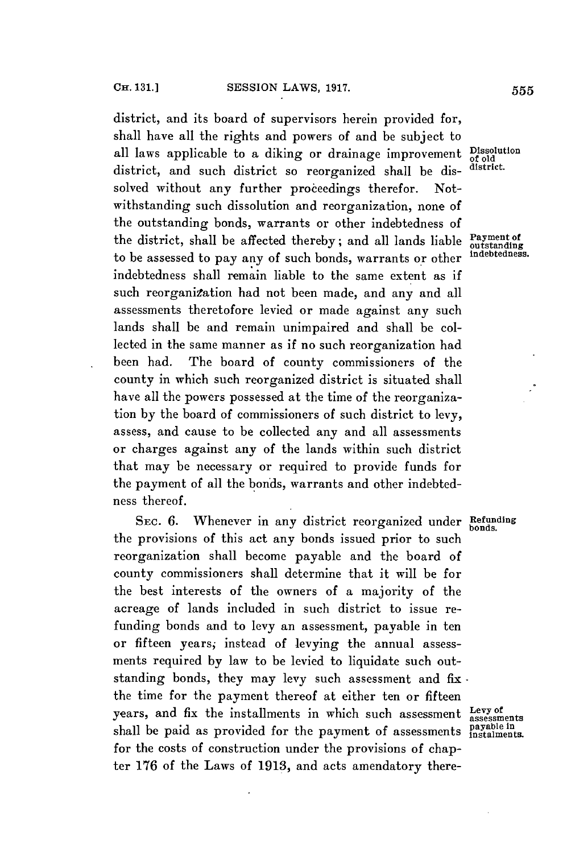district, and its board of supervisors herein provided for, shall have all the rights and powers of and be subject to all laws applicable to a diking or drainage improvement **Dissolution** district, and such district so reorganized shall be dis- **district.** solved without any further proceedings therefor. Notwithstanding such dissolution and reorganization, none of the outstanding bonds, warrants or other indebtedness of the district, shall be affected thereby; and all lands liable **Payment of**<br>to be assessed to now any of such hands we prepare or the indeptedness. to be assessed to pay any of such bonds, warrants or other indebtedness shall remain liable to the same extent as if such reorganization had not been made, and any and all assessments theretofore levied or made against any such lands shall be and remain unimpaired and shall be collected in the same manner as if no such reorganization had been had. The board of county commissioners of the county in which such reorganized district is situated shall have all the powers possessed at the time of the reorganization **by** the board of commissioners of such district to levy, assess, and cause to be collected any and all assessments or charges against any of the lands within such district that may be necessary or required to provide funds for the payment of all the bonds, warrants and other indebtedness thereof.

SEC. 6. Whenever in any district reorganized under Refunding the provisions of this act any bonds issued prior to such reorganization shall become payable and the board of county commissioners shall determine that it will be for the best interests of the owners of a majority of the acreage of lands included in such district to issue refunding bonds and to levy an assessment, payable in ten or fifteen years, instead **of** levying the annual assessments required **by** law to be levied to liquidate such outstanding bonds, they may levy such assessment and fix the time for the payment thereof at either ten or fifteen years, and fix the installments in which such assessment Levy of shall be paid as provided for the payment of assessments instalments. for the costs of construction under the provisions of chapter **176** of the Laws of **1913,** and acts amendatory there-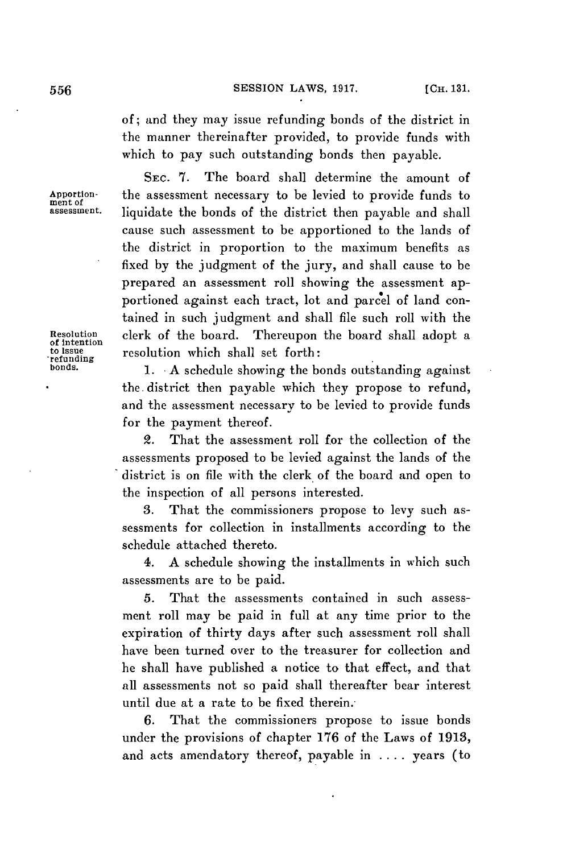of; and they may issue refunding bonds of the district in the manner thereinafter provided, to provide funds with which to pay such outstanding bonds then payable.

**SEC. 7.** The board shall determine the amount of Apportion-<br>ment of the assessment necessary to be levied to provide funds to<br>assessment. liquidate the bonds of the district then payable and shall **assessment.** liquidate the bonds of the district then payable and shall cause such assessment to be apportioned to the lands of the district in proportion to the maximum benefits as fixed **by** the judgment of the jury, and shall cause to be prepared an assessment roll showing the assessment apportioned against each tract, lot and parcel of land contained in such judgment and shall file such roll with the **Resolution** clerk of the board. Thereupon the board shall adopt a **of intention to issue** resolution which shall set forth:

**bonds. 1. -A** schedule showing the bonds outstanding against the district then payable which they propose to refund, and the assessment necessary to be levied to provide funds for the payment thereof.

> 2. That the assessment roll for the collection of the assessments proposed to be levied against the lands of the district is on file with the clerk of the board and open to the inspection of all persons interested.

> **3.** That the commissioners propose to levy such assessments for collection in installments according to the schedule attached thereto.

> 4. **A** schedule showing the installments in which such assessments are to be paid.

> **5.** That the assessments contained in such assessment roll may be paid in full at any time prior to the expiration of thirty days after such assessment roll shall have been turned over to the treasurer for collection and he shall have published a notice to that effect, and that all assessments not so paid shall thereafter bear interest until due at a rate to be fixed therein.

> **6.** That the commissioners propose to issue bonds under the provisions of chapter **176** of the Laws of **1913,** and acts amendatory thereof, payable in **.** . . **.** years (to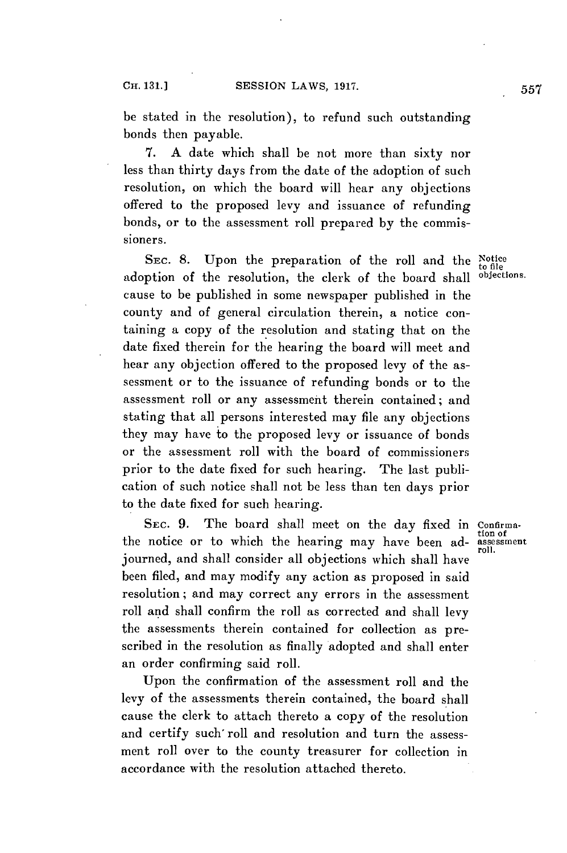be stated in the resolution), to refund such outstanding bonds then payable.

**7. A** date which shall be not more than sixty nor less than thirty days from the date of the adoption of such resolution, on which the board will hear any objections offered to the proposed levy and issuance of refunding bonds, or to the assessment roll prepared **by** the commissioners.

SEC. 8. Upon the preparation of the roll and the  $_{\rm{to\, file}}^{\rm{Notice}}$ adoption of the resolution, the clerk of the board shall objections. cause to be published in some newspaper published in the county and of general circulation therein, a notice containing a copy of the resolution and stating that on the date fixed therein for the hearing the board will meet and hear any objection offered to the proposed levy of the assessment or to the issuance of refunding bonds or to the assessment roll or any assessment therein contained; and stating that all persons interested may file any objections they may have to the proposed levy or issuance of bonds or the assessment roll with the board of commissioners prior to the date fixed for such hearing. The last publication of such notice shall not be less than ten days prior to the date fixed for such hearing.

SEC. 9. The board shall meet on the day fixed in Confirma-<br>the notice or to which the hearing may have been ad-<br>assessment journed, and shall consider all objections which shall have been filed, and may modify any action as proposed in said resolution; and may correct any errors in the assessment roll and shall confirm the roll as corrected and shall levy the assessments therein contained for collection as prescribed in the resolution as finally adopted and shall enter an order confirming said roll.

Upon the confirmation of the assessment roll and the levy of the assessments therein contained, the board shall cause the clerk to attach thereto a copy of the resolution and certify such roll and resolution and turn the assessment roll over to the county treasurer for collection in accordance with the resolution attached thereto.

roll.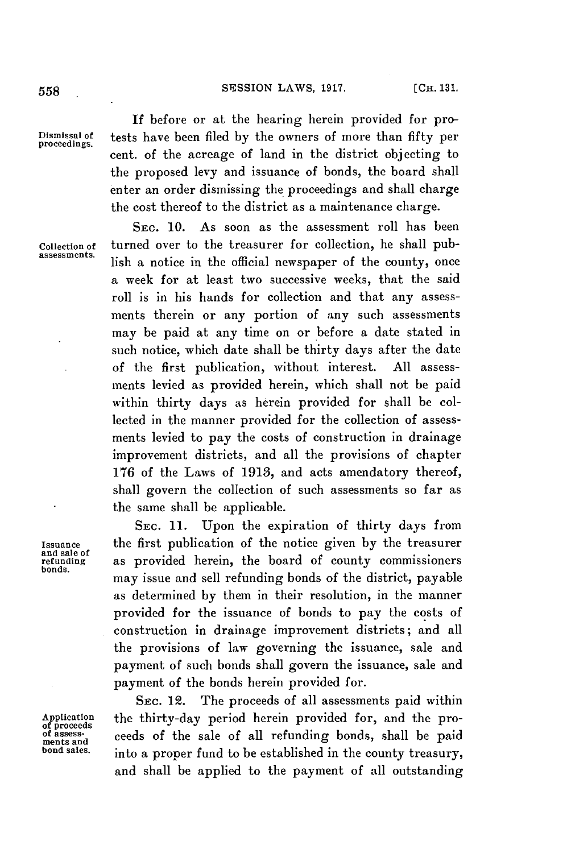## SESSION LAWS, **1917. [CH. 131. 558**

**and sale** of

**bonds.**

**If** before or at the hearing herein provided for pro-**Dismissal of** tests have been filed **by** the owners of more than fifty per **proceedings.** cent. of the acreage of land in the district objecting to the proposed levy and issuance of bonds, the board shall enter an order dismissing the proceedings and shall charge the cost thereof to the district as a maintenance charge.

SEC. **10.** As soon as the assessment roll has been **collection of** turned over to the treasurer for collection, he shall publish a notice in the official newspaper of the county, once a week for at least two successive weeks, that the said roll is in his hands for collection and that any assessments therein or any portion of any such assessments may be paid at any time on or before a date stated in such notice, which date shall be thirty days after the date of the first publication, without interest. **All** assessments levied as provided herein, which shall not be paid within thirty days as herein provided for shall be collected in the manner provided for the collection of assessments levied to pay the costs of construction in drainage improvement districts, and all the provisions of chapter **176** of the Laws of **1913,** and acts amendatory thereof, shall govern the collection of such assessments so far as the same shall be applicable.

**SEC. 11.** Upon the expiration of thirty days from **Issuance** the first publication of the notice given **by** the treasurer **refunding** as provided herein, the board of county commissioners may issue and sell refunding bonds of the district, payable as determined **by** them in their resolution, in the manner provided for the issuance of bonds to pay the costs of construction in drainage improvement districts; and all the provisions of *law* governing the issuance, sale and payment of such bonds shall govern the issuance, sale and payment of the bonds herein provided for.

**SEC.** 12. The proceeds of all assessments paid within Application the thirty-day period herein provided for, and the pro-<br>
of assess-<br>
of assess-<br> **of assess-**<br> **ond sales.** into a proper fund to be established in the country treesury into a proper fund to be established in the county treasury, and shall be applied to the payment of all outstanding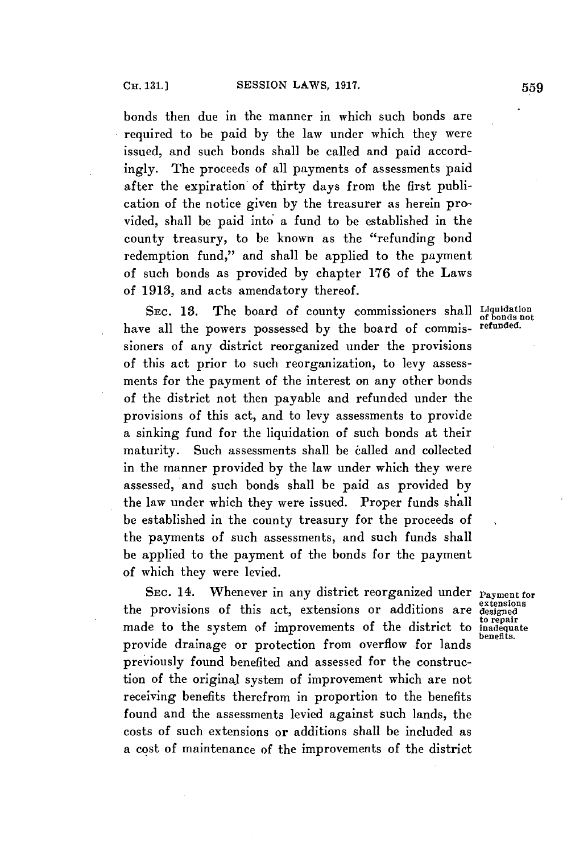bonds then due in the manner in which such bonds are required to be paid **by** the law under which they were issued, and such bonds shall be called and paid accordingly. The proceeds of all payments of assessments paid after the expiration of thirty days from the first publication of the notice given **by** the treasurer as herein provided, shall be paid into a fund to be established in the county treasury, to be known as the "refunding bond redemption fund," and shall be applied to the payment of such bonds as provided **by** chapter **176** of the Laws of **1918,** and acts amendatory thereof.

SEC. 13. The board of county commissioners shall Liquidation have all the powers possessed **by** the board of commis- refunded. sioners of any district reorganized under the provisions of this act prior to such reorganization, to levy assessments for the payment of the interest on any other bonds of the district not then payable and refunded under the provisions of this act, and to levy assessments to provide a sinking fund for the liquidation of such bonds at their maturity. Such assessments shall be called and collected in the manner provided **by** the law under which they were assessed, and such bonds shall be paid as provided **by** the law under which they were issued. Proper funds shall be established in the county treasury for the proceeds of the payments of such assessments, and such funds shall be applied to the payment of the bonds for the payment of which they were levied.

SEC. 14. Whenever in any district reorganized under **Payment for etensions** the provisions of this act, extensions or additions are **designed** made to the system of improvements of the district to *inadequate* provide drainage or protection from overflow for lands previously found benefited and assessed for the construction of the original system of improvement which are not receiving benefits therefrom in proportion to the benefits found and the assessments levied against such lands, the costs of such extensions or additions shall be included as a cost of maintenance of the improvements of the district